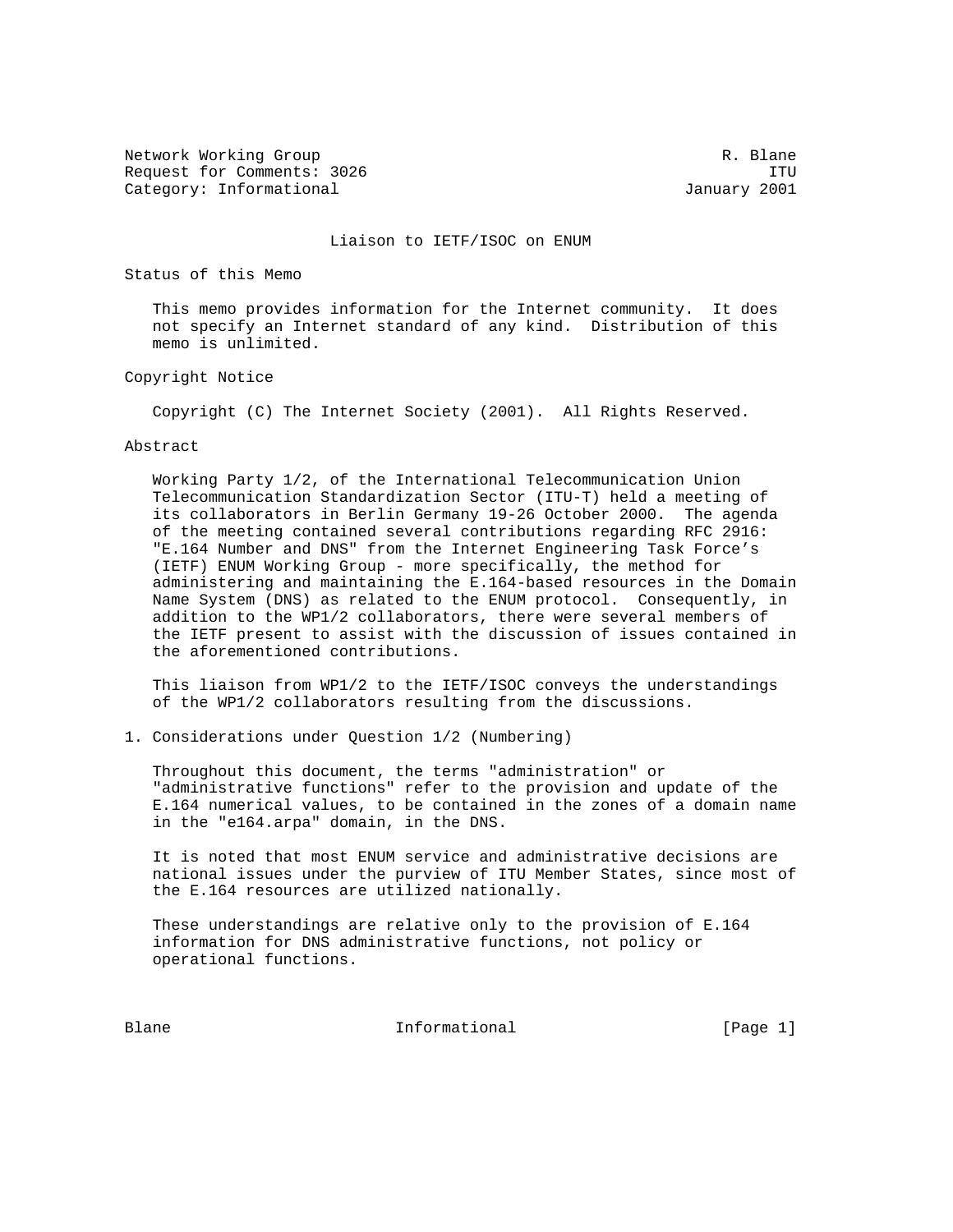Network Working Group and the set of the set of the set of the set of the set of the set of the set of the set of the set of the set of the set of the set of the set of the set of the set of the set of the set of the set o Request for Comments: 3026 ITU Category: Informational and Category: Informational and Category: January 2001

## Liaison to IETF/ISOC on ENUM

Status of this Memo

 This memo provides information for the Internet community. It does not specify an Internet standard of any kind. Distribution of this memo is unlimited.

Copyright Notice

Copyright (C) The Internet Society (2001). All Rights Reserved.

## Abstract

 Working Party 1/2, of the International Telecommunication Union Telecommunication Standardization Sector (ITU-T) held a meeting of its collaborators in Berlin Germany 19-26 October 2000. The agenda of the meeting contained several contributions regarding RFC 2916: "E.164 Number and DNS" from the Internet Engineering Task Force's (IETF) ENUM Working Group - more specifically, the method for administering and maintaining the E.164-based resources in the Domain Name System (DNS) as related to the ENUM protocol. Consequently, in addition to the WP1/2 collaborators, there were several members of the IETF present to assist with the discussion of issues contained in the aforementioned contributions.

 This liaison from WP1/2 to the IETF/ISOC conveys the understandings of the WP1/2 collaborators resulting from the discussions.

1. Considerations under Question 1/2 (Numbering)

 Throughout this document, the terms "administration" or "administrative functions" refer to the provision and update of the E.164 numerical values, to be contained in the zones of a domain name in the "e164.arpa" domain, in the DNS.

 It is noted that most ENUM service and administrative decisions are national issues under the purview of ITU Member States, since most of the E.164 resources are utilized nationally.

 These understandings are relative only to the provision of E.164 information for DNS administrative functions, not policy or operational functions.

Blane **Informational Informational** [Page 1]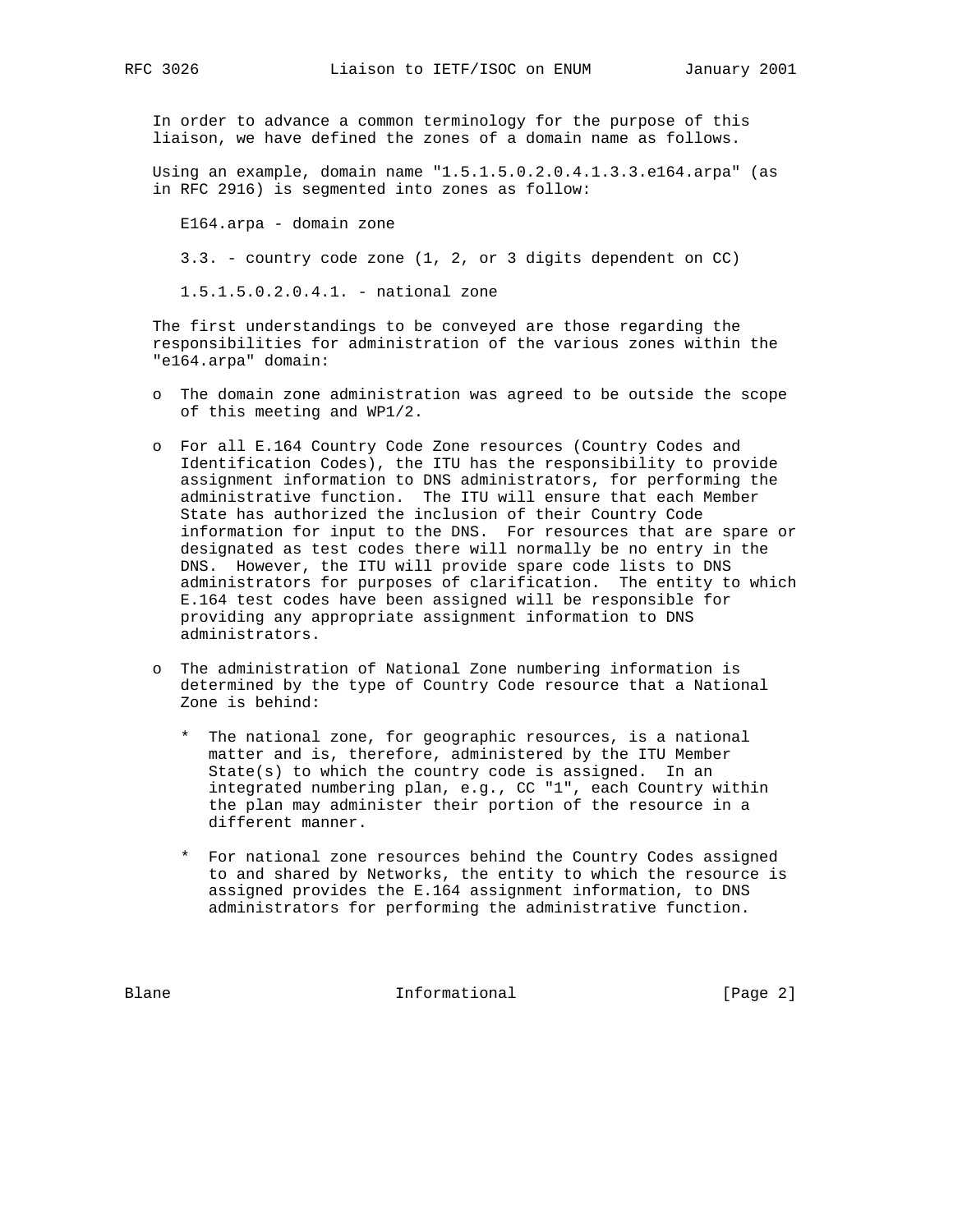In order to advance a common terminology for the purpose of this liaison, we have defined the zones of a domain name as follows.

 Using an example, domain name "1.5.1.5.0.2.0.4.1.3.3.e164.arpa" (as in RFC 2916) is segmented into zones as follow:

 E164.arpa - domain zone 3.3. - country code zone (1, 2, or 3 digits dependent on CC) 1.5.1.5.0.2.0.4.1. - national zone

 The first understandings to be conveyed are those regarding the responsibilities for administration of the various zones within the "e164.arpa" domain:

- o The domain zone administration was agreed to be outside the scope of this meeting and WP1/2.
- o For all E.164 Country Code Zone resources (Country Codes and Identification Codes), the ITU has the responsibility to provide assignment information to DNS administrators, for performing the administrative function. The ITU will ensure that each Member State has authorized the inclusion of their Country Code information for input to the DNS. For resources that are spare or designated as test codes there will normally be no entry in the DNS. However, the ITU will provide spare code lists to DNS administrators for purposes of clarification. The entity to which E.164 test codes have been assigned will be responsible for providing any appropriate assignment information to DNS administrators.
- o The administration of National Zone numbering information is determined by the type of Country Code resource that a National Zone is behind:
	- \* The national zone, for geographic resources, is a national matter and is, therefore, administered by the ITU Member State(s) to which the country code is assigned. In an integrated numbering plan, e.g., CC "1", each Country within the plan may administer their portion of the resource in a different manner.
	- \* For national zone resources behind the Country Codes assigned to and shared by Networks, the entity to which the resource is assigned provides the E.164 assignment information, to DNS administrators for performing the administrative function.

Blane **Informational Informational** [Page 2]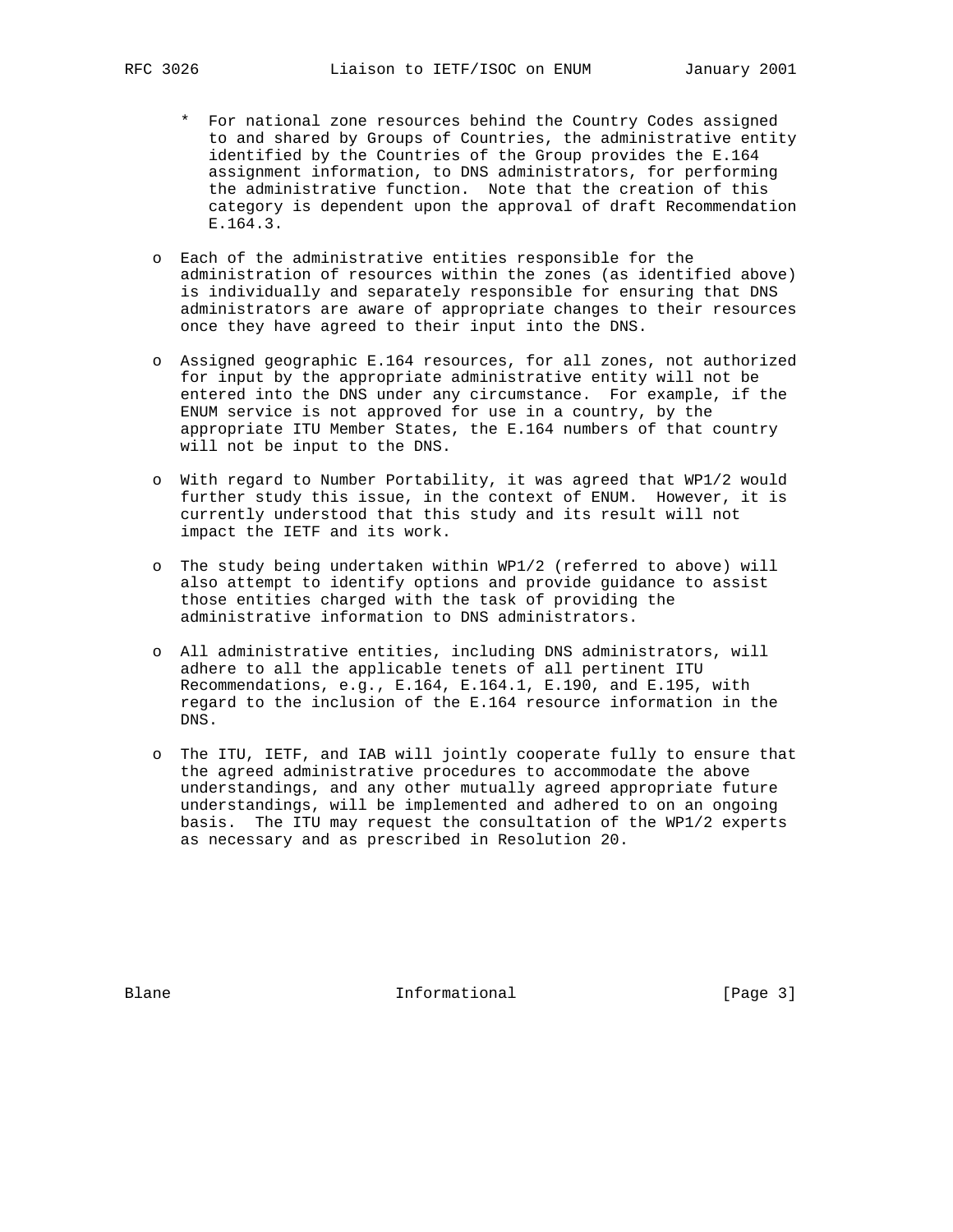- \* For national zone resources behind the Country Codes assigned to and shared by Groups of Countries, the administrative entity identified by the Countries of the Group provides the E.164 assignment information, to DNS administrators, for performing the administrative function. Note that the creation of this category is dependent upon the approval of draft Recommendation E.164.3.
- o Each of the administrative entities responsible for the administration of resources within the zones (as identified above) is individually and separately responsible for ensuring that DNS administrators are aware of appropriate changes to their resources once they have agreed to their input into the DNS.
- o Assigned geographic E.164 resources, for all zones, not authorized for input by the appropriate administrative entity will not be entered into the DNS under any circumstance. For example, if the ENUM service is not approved for use in a country, by the appropriate ITU Member States, the E.164 numbers of that country will not be input to the DNS.
- o With regard to Number Portability, it was agreed that WP1/2 would further study this issue, in the context of ENUM. However, it is currently understood that this study and its result will not impact the IETF and its work.
- o The study being undertaken within WP1/2 (referred to above) will also attempt to identify options and provide guidance to assist those entities charged with the task of providing the administrative information to DNS administrators.
- o All administrative entities, including DNS administrators, will adhere to all the applicable tenets of all pertinent ITU Recommendations, e.g., E.164, E.164.1, E.190, and E.195, with regard to the inclusion of the E.164 resource information in the DNS.
- o The ITU, IETF, and IAB will jointly cooperate fully to ensure that the agreed administrative procedures to accommodate the above understandings, and any other mutually agreed appropriate future understandings, will be implemented and adhered to on an ongoing basis. The ITU may request the consultation of the WP1/2 experts as necessary and as prescribed in Resolution 20.

Blane **Informational Informational** [Page 3]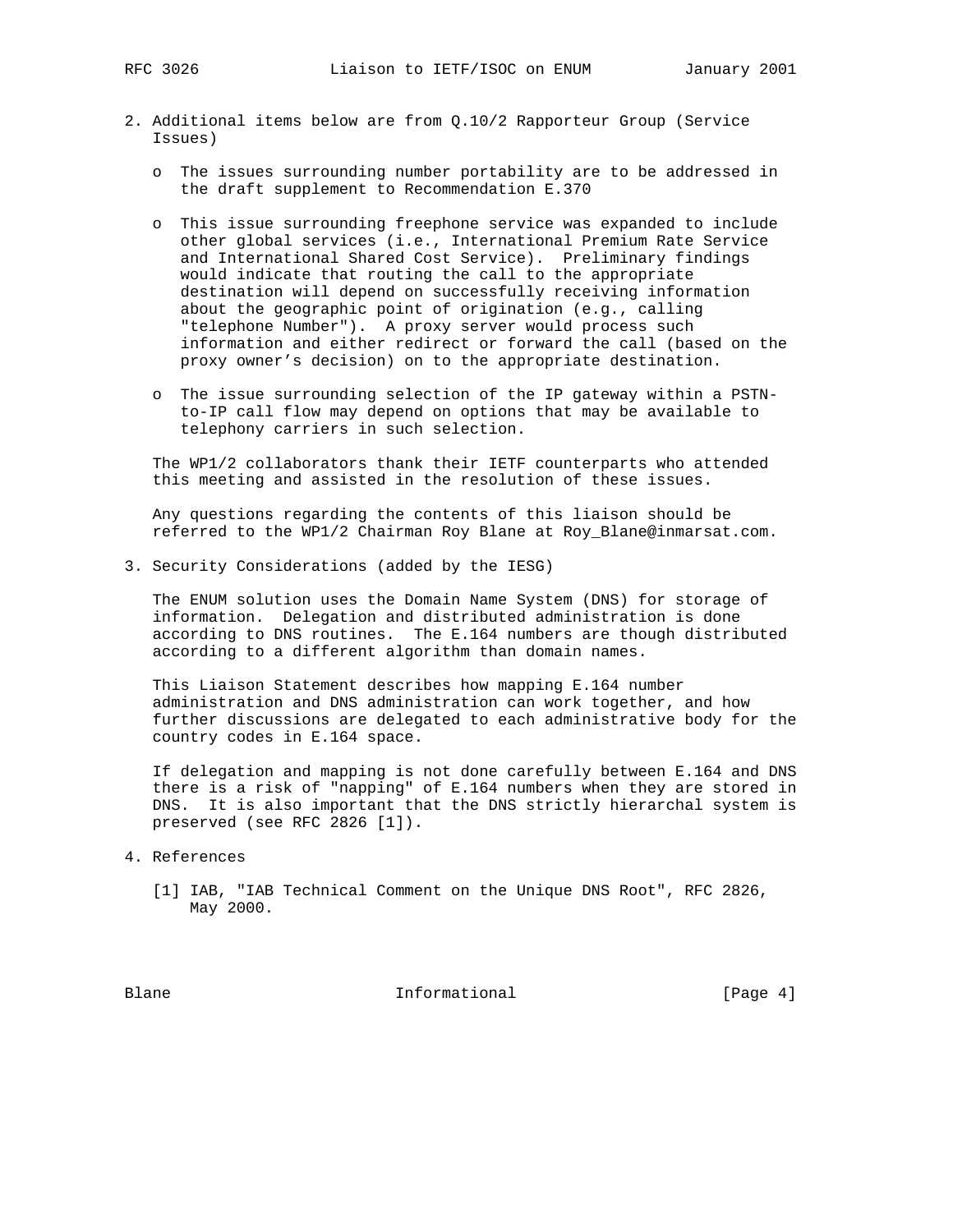- 2. Additional items below are from Q.10/2 Rapporteur Group (Service Issues)
	- o The issues surrounding number portability are to be addressed in the draft supplement to Recommendation E.370
	- o This issue surrounding freephone service was expanded to include other global services (i.e., International Premium Rate Service and International Shared Cost Service). Preliminary findings would indicate that routing the call to the appropriate destination will depend on successfully receiving information about the geographic point of origination (e.g., calling "telephone Number"). A proxy server would process such information and either redirect or forward the call (based on the proxy owner's decision) on to the appropriate destination.
	- o The issue surrounding selection of the IP gateway within a PSTN to-IP call flow may depend on options that may be available to telephony carriers in such selection.

 The WP1/2 collaborators thank their IETF counterparts who attended this meeting and assisted in the resolution of these issues.

 Any questions regarding the contents of this liaison should be referred to the WP1/2 Chairman Roy Blane at Roy\_Blane@inmarsat.com.

3. Security Considerations (added by the IESG)

 The ENUM solution uses the Domain Name System (DNS) for storage of information. Delegation and distributed administration is done according to DNS routines. The E.164 numbers are though distributed according to a different algorithm than domain names.

 This Liaison Statement describes how mapping E.164 number administration and DNS administration can work together, and how further discussions are delegated to each administrative body for the country codes in E.164 space.

 If delegation and mapping is not done carefully between E.164 and DNS there is a risk of "napping" of E.164 numbers when they are stored in DNS. It is also important that the DNS strictly hierarchal system is preserved (see RFC 2826 [1]).

- 4. References
	- [1] IAB, "IAB Technical Comment on the Unique DNS Root", RFC 2826, May 2000.

Blane **Informational Informational** [Page 4]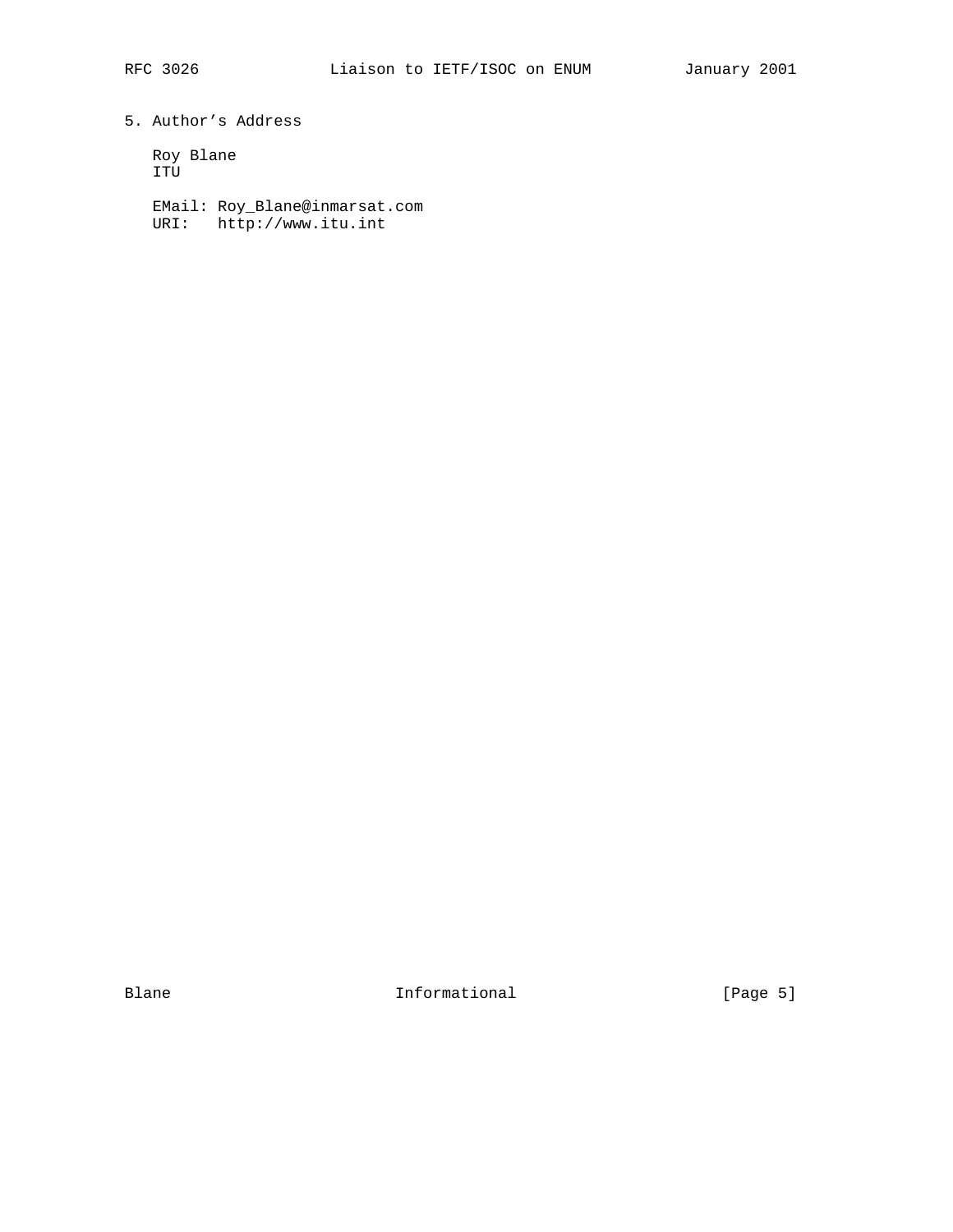5. Author's Address

 Roy Blane ITU

 EMail: Roy\_Blane@inmarsat.com URI: http://www.itu.int

Blane Informational [Page 5]